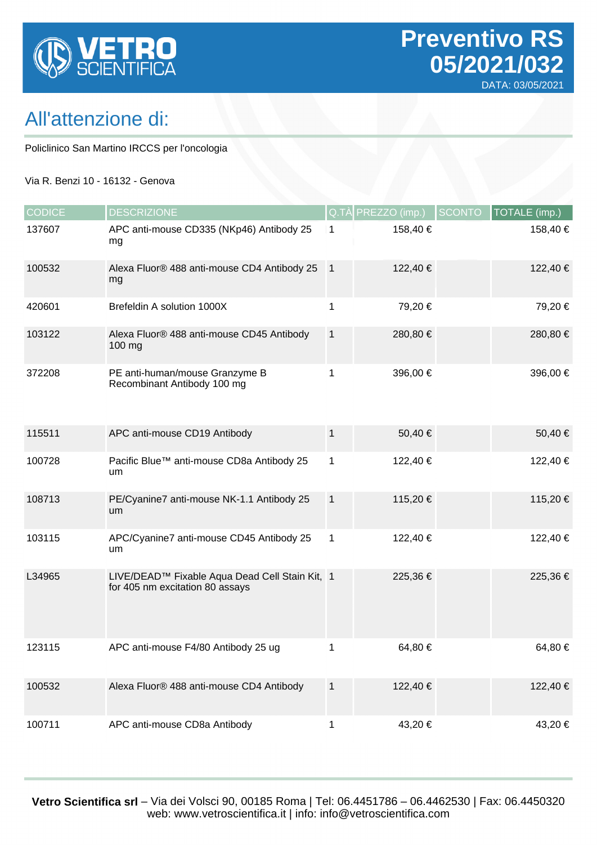

## All'attenzione di:

Policlinico San Martino IRCCS per l'oncologia

#### Via R. Benzi 10 - 16132 - Genova

| <b>CODICE</b> | <b>DESCRIZIONE</b>                                                                |                | $Q.T\$ PRE $ZZO$ (imp.) | <b>SCONTO</b> | TOTALE (imp.) |
|---------------|-----------------------------------------------------------------------------------|----------------|-------------------------|---------------|---------------|
| 137607        | APC anti-mouse CD335 (NKp46) Antibody 25<br>mg                                    | 1              | 158,40 €                |               | 158,40 €      |
| 100532        | Alexa Fluor® 488 anti-mouse CD4 Antibody 25<br>mg                                 | $\overline{1}$ | 122,40 €                |               | 122,40 €      |
| 420601        | Brefeldin A solution 1000X                                                        | 1              | 79,20 €                 |               | 79,20€        |
| 103122        | Alexa Fluor® 488 anti-mouse CD45 Antibody<br>100 mg                               | $\mathbf{1}$   | 280,80 €                |               | 280,80 €      |
| 372208        | PE anti-human/mouse Granzyme B<br>Recombinant Antibody 100 mg                     | 1              | 396,00 €                |               | 396,00 €      |
| 115511        | APC anti-mouse CD19 Antibody                                                      | 1              | 50,40 €                 |               | 50,40 €       |
| 100728        | Pacific Blue™ anti-mouse CD8a Antibody 25<br>um                                   | 1              | 122,40 €                |               | 122,40 €      |
| 108713        | PE/Cyanine7 anti-mouse NK-1.1 Antibody 25<br>um                                   | $\mathbf{1}$   | 115,20 €                |               | 115,20 €      |
| 103115        | APC/Cyanine7 anti-mouse CD45 Antibody 25<br>um                                    | 1              | 122,40 €                |               | 122,40 €      |
| L34965        | LIVE/DEAD™ Fixable Aqua Dead Cell Stain Kit, 1<br>for 405 nm excitation 80 assays |                | 225,36€                 |               | 225,36 €      |
| 123115        | APC anti-mouse F4/80 Antibody 25 ug                                               |                | 64,80 €                 |               | 64,80 €       |
| 100532        | Alexa Fluor® 488 anti-mouse CD4 Antibody                                          | $\mathbf{1}$   | 122,40 €                |               | 122,40 €      |
| 100711        | APC anti-mouse CD8a Antibody                                                      | 1              | 43,20 €                 |               | 43,20 €       |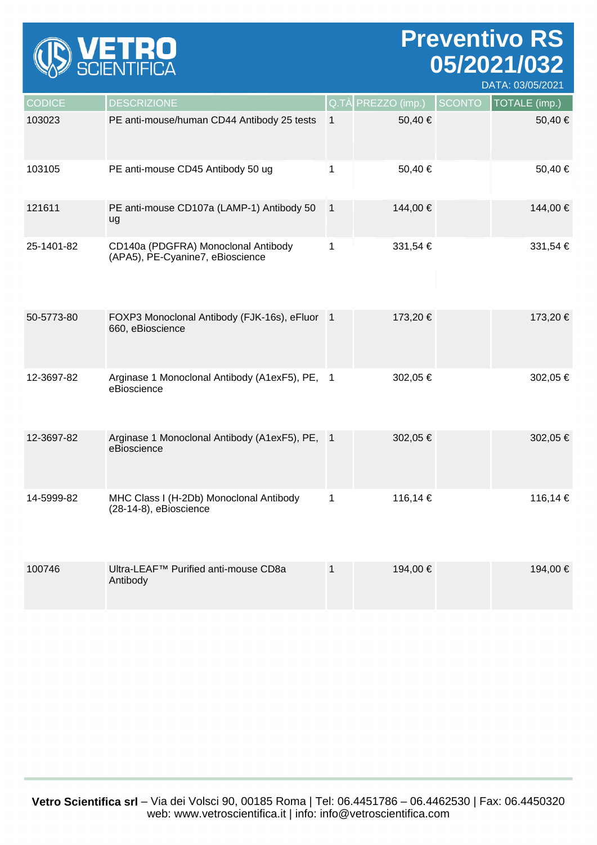

# **Preventivo RS 05/2021/032**

DATA: 03/05/2021

| <b>CODICE</b> | <b>DESCRIZIONE</b>                                                      |                | Q.TÀ PREZZO (imp.) | <b>SCONTO</b> | TOTALE (imp.) |
|---------------|-------------------------------------------------------------------------|----------------|--------------------|---------------|---------------|
| 103023        | PE anti-mouse/human CD44 Antibody 25 tests                              | $\mathbf{1}$   | 50,40€             |               | 50,40 €       |
| 103105        | PE anti-mouse CD45 Antibody 50 ug                                       | $\mathbf{1}$   | 50,40 €            |               | 50,40€        |
| 121611        | PE anti-mouse CD107a (LAMP-1) Antibody 50<br>ug                         | $\overline{1}$ | 144,00 €           |               | 144,00 €      |
| 25-1401-82    | CD140a (PDGFRA) Monoclonal Antibody<br>(APA5), PE-Cyanine7, eBioscience | $\mathbf{1}$   | 331,54 €           |               | 331,54 €      |
| 50-5773-80    | FOXP3 Monoclonal Antibody (FJK-16s), eFluor 1<br>660, eBioscience       |                | 173,20 €           |               | 173,20 €      |
| 12-3697-82    | Arginase 1 Monoclonal Antibody (A1exF5), PE, 1<br>eBioscience           |                | 302,05 €           |               | 302,05 €      |
| 12-3697-82    | Arginase 1 Monoclonal Antibody (A1exF5), PE, 1<br>eBioscience           |                | 302,05 €           |               | 302,05 €      |
| 14-5999-82    | MHC Class I (H-2Db) Monoclonal Antibody<br>(28-14-8), eBioscience       | $\mathbf{1}$   | 116,14 €           |               | 116,14 €      |
| 100746        | Ultra-LEAF <sup>™</sup> Purified anti-mouse CD8a<br>Antibody            | $\mathbf 1$    | 194,00 €           |               | 194,00 €      |